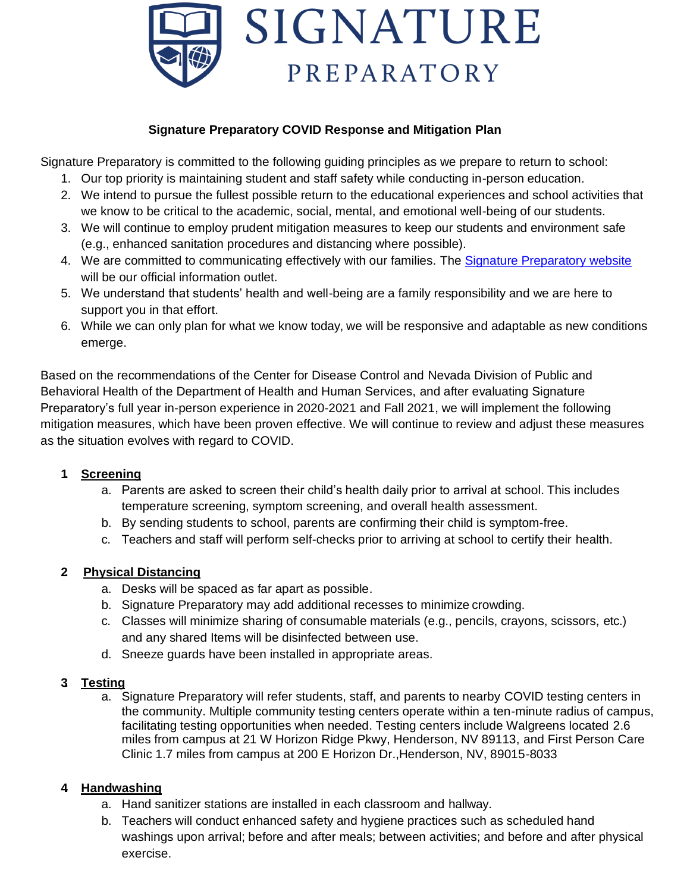

## **Signature Preparatory COVID Response and Mitigation Plan**

Signature Preparatory is committed to the following guiding principles as we prepare to return to school:

- 1. Our top priority is maintaining student and staff safety while conducting in-person education.
- 2. We intend to pursue the fullest possible return to the educational experiences and school activities that we know to be critical to the academic, social, mental, and emotional well-being of our students.
- 3. We will continue to employ prudent mitigation measures to keep our students and environment safe (e.g., enhanced sanitation procedures and distancing where possible).
- 4. We are committed to communicating effectively with our families. The Signature Preparatory website will be our official information outlet.
- 5. We understand that students' health and well-being are a family responsibility and we are here to support you in that effort.
- 6. While we can only plan for what we know today, we will be responsive and adaptable as new conditions emerge.

Based on the recommendations of the Center for Disease Control and Nevada Division of Public and Behavioral Health of the Department of Health and Human Services, and after evaluating Signature Preparatory's full year in-person experience in 2020-2021 and Fall 2021, we will implement the following mitigation measures, which have been proven effective. We will continue to review and adjust these measures as the situation evolves with regard to COVID.

## **1. Screening**

- a. Parents are asked to screen their child's health daily prior to arrival at school. This includes temperature screening, symptom screening, and overall health assessment.
- b. By sending students to school, parents are confirming their child is symptom-free.
- c. Teachers and staff will perform self-checks prior to arriving at school to certify their health.

## **2. Physical Distancing**

- a. Desks will be spaced as far apart as possible.
- b. Signature Preparatory may add additional recesses to minimize crowding.
- c. Classes will minimize sharing of consumable materials (e.g., pencils, crayons, scissors, etc.) and any shared Items will be disinfected between use.
- d. Sneeze guards have been installed in appropriate areas.

## **3. Testing**

a. Signature Preparatory will refer students, staff, and parents to nearby COVID testing centers in the community. Multiple community testing centers operate within a ten-minute radius of campus, facilitating testing opportunities when needed. Testing centers include Walgreens located 2.6 miles from campus at 21 W Horizon Ridge Pkwy, Henderson, NV 89113, and First Person Care Clinic 1.7 miles from campus at 200 E Horizon Dr.,Henderson, NV, 89015-8033

## **4. Handwashing**

- a. Hand sanitizer stations are installed in each classroom and hallway.
- b. Teachers will conduct enhanced safety and hygiene practices such as scheduled hand washings upon arrival; before and after meals; between activities; and before and after physical exercise.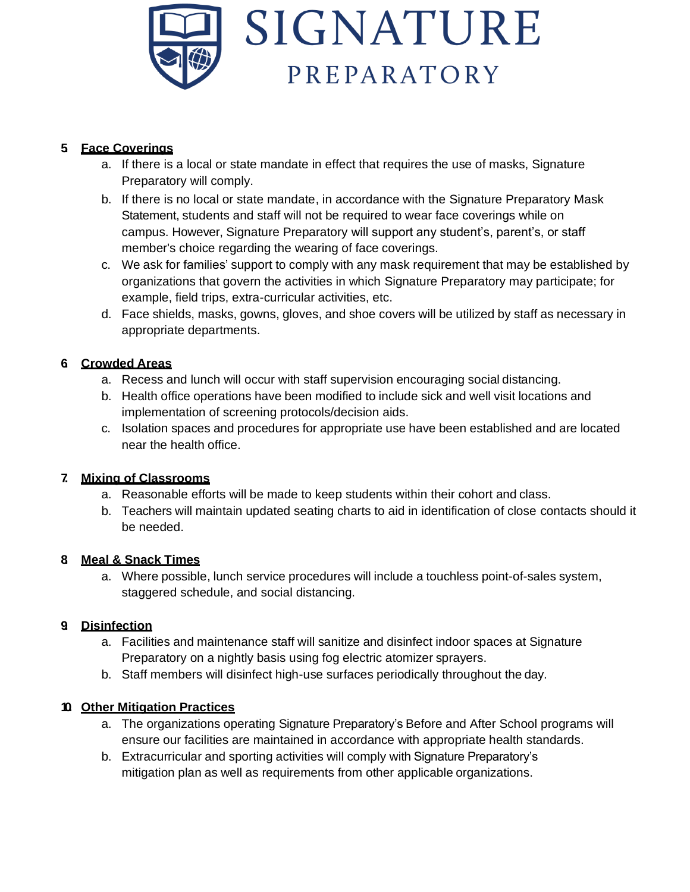

## **5. Face Coverings**

- a. If there is a local or state mandate in effect that requires the use of masks, Signature Preparatory will comply.
- b. If there is no local or state mandate, in accordance with the Signature Preparatory Mask Statement, students and staff will not be required to wear face coverings while on campus. However, Signature Preparatory will support any student's, parent's, or staff member's choice regarding the wearing of face coverings.
- c. We ask for families' support to comply with any mask requirement that may be established by organizations that govern the activities in which Signature Preparatory may participate; for example, field trips, extra-curricular activities, etc.
- d. Face shields, masks, gowns, gloves, and shoe covers will be utilized by staff as necessary in appropriate departments.

## **6. Crowded Areas**

- a. Recess and lunch will occur with staff supervision encouraging social distancing.
- b. Health office operations have been modified to include sick and well visit locations and implementation of screening protocols/decision aids.
- c. Isolation spaces and procedures for appropriate use have been established and are located near the health office.

## **7. Mixing of Classrooms**

- a. Reasonable efforts will be made to keep students within their cohort and class.
- b. Teachers will maintain updated seating charts to aid in identification of close contacts should it be needed.

## **8. Meal & Snack Times**

a. Where possible, lunch service procedures will include a touchless point-of-sales system, staggered schedule, and social distancing.

## **9. Disinfection**

- a. Facilities and maintenance staff will sanitize and disinfect indoor spaces at Signature Preparatory on a nightly basis using fog electric atomizer sprayers.
- b. Staff members will disinfect high-use surfaces periodically throughout the day.

## **10. Other Mitigation Practices**

- a. The organizations operating Signature Preparatory's Before and After School programs will ensure our facilities are maintained in accordance with appropriate health standards.
- b. Extracurricular and sporting activities will comply with Signature Preparatory's mitigation plan as well as requirements from other applicable organizations.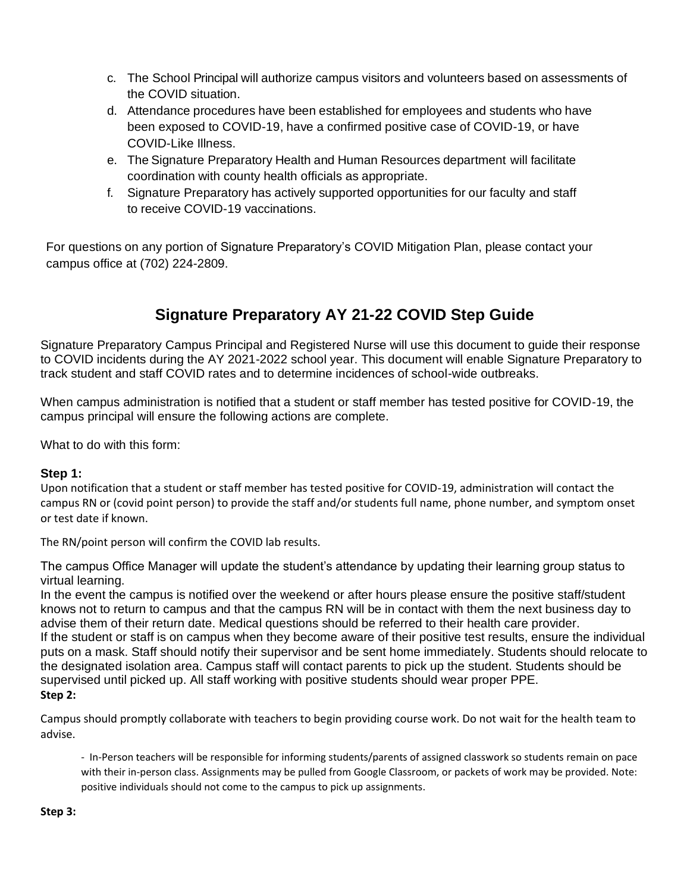- c. The School Principal will authorize campus visitors and volunteers based on assessments of the COVID situation.
- d. Attendance procedures have been established for employees and students who have been exposed to COVID-19, have a confirmed positive case of COVID-19, or have COVID-Like Illness.
- e. The Signature Preparatory Health and Human Resources department will facilitate coordination with county health officials as appropriate.
- f. Signature Preparatory has actively supported opportunities for our faculty and staff to receive COVID-19 vaccinations.

For questions on any portion of Signature Preparatory's COVID Mitigation Plan, please contact your campus office at (702) 224-2809.

# **Signature Preparatory AY 21-22 COVID Step Guide**

Signature Preparatory Campus Principal and Registered Nurse will use this document to guide their response to COVID incidents during the AY 2021-2022 school year. This document will enable Signature Preparatory to track student and staff COVID rates and to determine incidences of school-wide outbreaks.

When campus administration is notified that a student or staff member has tested positive for COVID-19, the campus principal will ensure the following actions are complete.

What to do with this form:

#### **Step 1:**

Upon notification that a student or staff member has tested positive for COVID-19, administration will contact the campus RN or (covid point person) to provide the staff and/or students full name, phone number, and symptom onset or test date if known.

The RN/point person will confirm the COVID lab results.

The campus Office Manager will update the student's attendance by updating their learning group status to virtual learning.

In the event the campus is notified over the weekend or after hours please ensure the positive staff/student knows not to return to campus and that the campus RN will be in contact with them the next business day to advise them of their return date. Medical questions should be referred to their health care provider. If the student or staff is on campus when they become aware of their positive test results, ensure the individual puts on a mask. Staff should notify their supervisor and be sent home immediately. Students should relocate to the designated isolation area. Campus staff will contact parents to pick up the student. Students should be supervised until picked up. All staff working with positive students should wear proper PPE. **Step 2:**

Campus should promptly collaborate with teachers to begin providing course work. Do not wait for the health team to advise.

- In-Person teachers will be responsible for informing students/parents of assigned classwork so students remain on pace with their in-person class. Assignments may be pulled from Google Classroom, or packets of work may be provided. Note: positive individuals should not come to the campus to pick up assignments.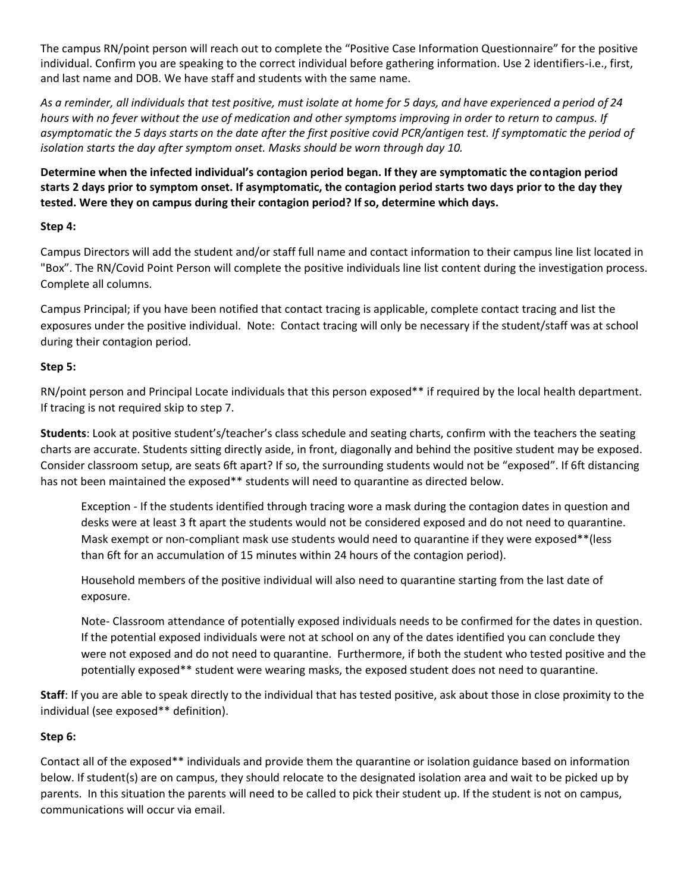The campus RN/point person will reach out to complete the "Positive Case Information Questionnaire" for the positive individual. Confirm you are speaking to the correct individual before gathering information. Use 2 identifiers-i.e., first, and last name and DOB. We have staff and students with the same name.

*As a reminder, all individuals that test positive, must isolate at home for 5 days, and have experienced a period of 24 hours with no fever without the use of medication and other symptoms improving in order to return to campus. If asymptomatic the 5 days starts on the date after the first positive covid PCR/antigen test. If symptomatic the period of isolation starts the day after symptom onset. Masks should be worn through day 10.* 

**Determine when the infected individual's contagion period began. If they are symptomatic the contagion period starts 2 days prior to symptom onset. If asymptomatic, the contagion period starts two days prior to the day they tested. Were they on campus during their contagion period? If so, determine which days.**

#### **Step 4:**

Campus Directors will add the student and/or staff full name and contact information to their campus line list located in "Box". The RN/Covid Point Person will complete the positive individuals line list content during the investigation process. Complete all columns.

Campus Principal; if you have been notified that contact tracing is applicable, complete contact tracing and list the exposures under the positive individual. Note: Contact tracing will only be necessary if the student/staff was at school during their contagion period.

#### **Step 5:**

RN/point person and Principal Locate individuals that this person exposed\*\* if required by the local health department. If tracing is not required skip to step 7.

**Students**: Look at positive student's/teacher's class schedule and seating charts, confirm with the teachers the seating charts are accurate. Students sitting directly aside, in front, diagonally and behind the positive student may be exposed. Consider classroom setup, are seats 6ft apart? If so, the surrounding students would not be "exposed". If 6ft distancing has not been maintained the exposed\*\* students will need to quarantine as directed below.

Exception - If the students identified through tracing wore a mask during the contagion dates in question and desks were at least 3 ft apart the students would not be considered exposed and do not need to quarantine. Mask exempt or non-compliant mask use students would need to quarantine if they were exposed\*\*(less than 6ft for an accumulation of 15 minutes within 24 hours of the contagion period).

Household members of the positive individual will also need to quarantine starting from the last date of exposure.

Note- Classroom attendance of potentially exposed individuals needs to be confirmed for the dates in question. If the potential exposed individuals were not at school on any of the dates identified you can conclude they were not exposed and do not need to quarantine. Furthermore, if both the student who tested positive and the potentially exposed\*\* student were wearing masks, the exposed student does not need to quarantine.

**Staff**: If you are able to speak directly to the individual that has tested positive, ask about those in close proximity to the individual (see exposed\*\* definition).

#### **Step 6:**

Contact all of the exposed\*\* individuals and provide them the quarantine or isolation guidance based on information below. If student(s) are on campus, they should relocate to the designated isolation area and wait to be picked up by parents. In this situation the parents will need to be called to pick their student up. If the student is not on campus, communications will occur via email.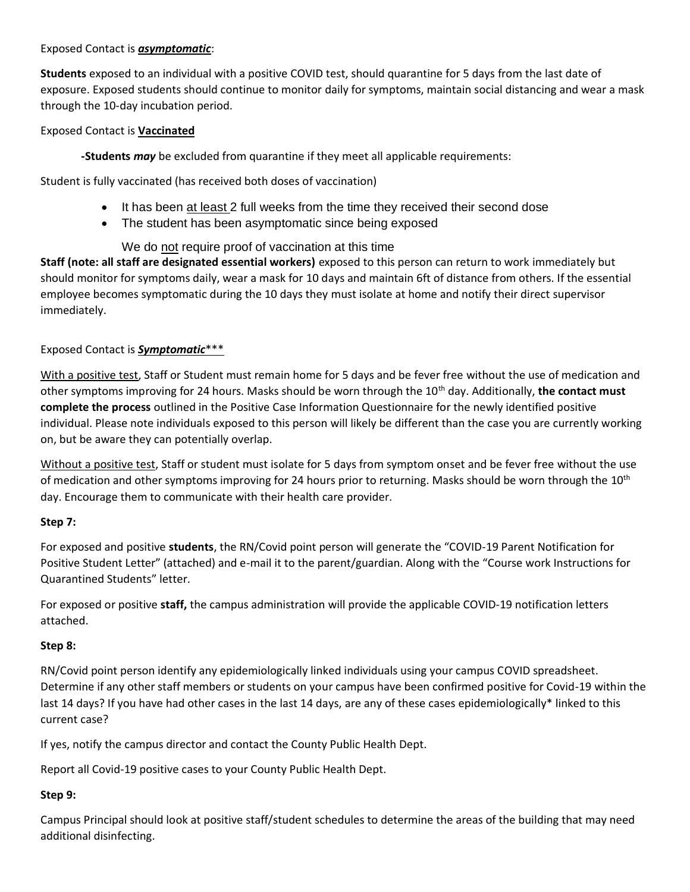#### Exposed Contact is *asymptomatic*:

**Students** exposed to an individual with a positive COVID test, should quarantine for 5 days from the last date of exposure. Exposed students should continue to monitor daily for symptoms, maintain social distancing and wear a mask through the 10-day incubation period.

#### Exposed Contact is **Vaccinated**

**-Students** *may* be excluded from quarantine if they meet all applicable requirements:

Student is fully vaccinated (has received both doses of vaccination)

- It has been at least 2 full weeks from the time they received their second dose
- The student has been asymptomatic since being exposed

### We do not require proof of vaccination at this time

**Staff (note: all staff are designated essential workers)** exposed to this person can return to work immediately but should monitor for symptoms daily, wear a mask for 10 days and maintain 6ft of distance from others. If the essential employee becomes symptomatic during the 10 days they must isolate at home and notify their direct supervisor immediately.

#### Exposed Contact is *Symptomatic*\*\*\*

With a positive test, Staff or Student must remain home for 5 days and be fever free without the use of medication and other symptoms improving for 24 hours. Masks should be worn through the 10th day. Additionally, **the contact must complete the process** outlined in the Positive Case Information Questionnaire for the newly identified positive individual. Please note individuals exposed to this person will likely be different than the case you are currently working on, but be aware they can potentially overlap.

Without a positive test, Staff or student must isolate for 5 days from symptom onset and be fever free without the use of medication and other symptoms improving for 24 hours prior to returning. Masks should be worn through the 10<sup>th</sup> day. Encourage them to communicate with their health care provider.

#### **Step 7:**

For exposed and positive **students**, the RN/Covid point person will generate the "COVID-19 Parent Notification for Positive Student Letter" (attached) and e-mail it to the parent/guardian. Along with the "Course work Instructions for Quarantined Students" letter.

For exposed or positive **staff,** the campus administration will provide the applicable COVID-19 notification letters attached.

#### **Step 8:**

RN/Covid point person identify any epidemiologically linked individuals using your campus COVID spreadsheet. Determine if any other staff members or students on your campus have been confirmed positive for Covid-19 within the last 14 days? If you have had other cases in the last 14 days, are any of these cases epidemiologically\* linked to this current case?

If yes, notify the campus director and contact the County Public Health Dept.

Report all Covid-19 positive cases to your County Public Health Dept.

#### **Step 9:**

Campus Principal should look at positive staff/student schedules to determine the areas of the building that may need additional disinfecting.